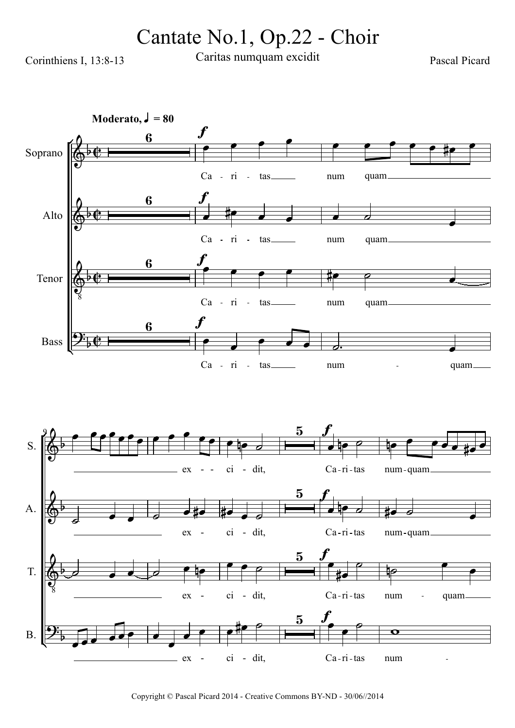## Cantate No.1, Op.22 - Choir

Corinthiens I, 13:8-13 Caritas numquam excidit Pascal Picard



Copyright © Pascal Picard 2014 - Creative Commons BY-ND - 30/06//2014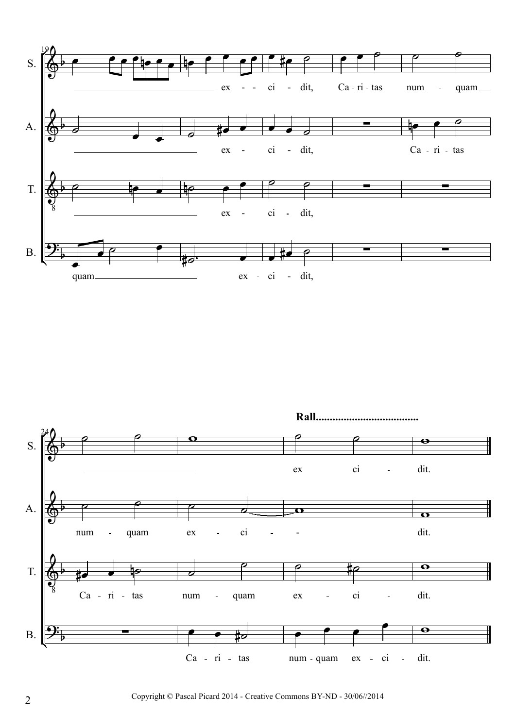

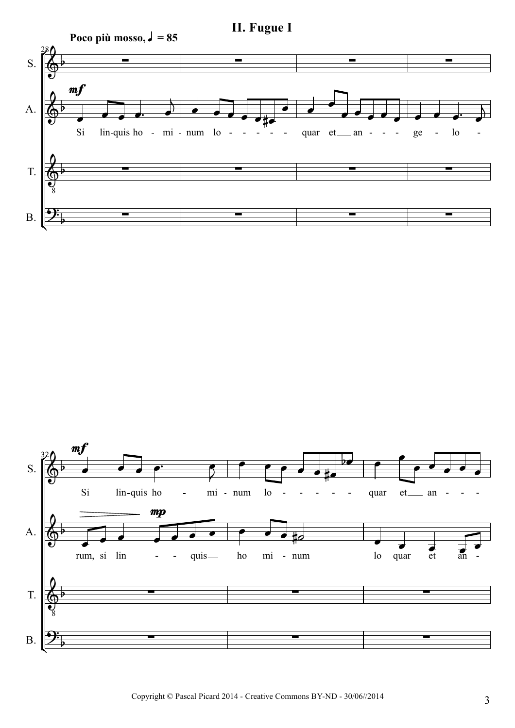

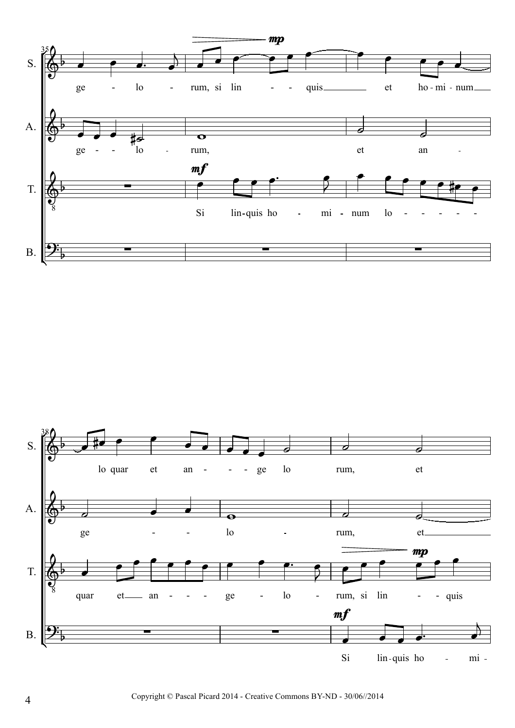

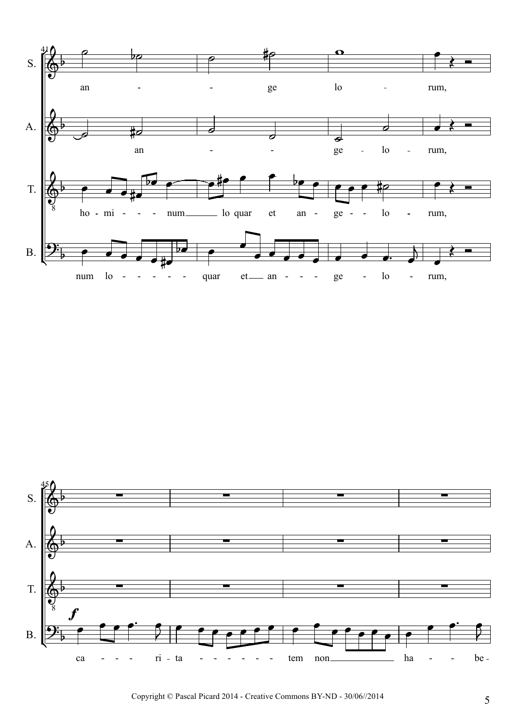



Copyright © Pascal Picard 2014 - Creative Commons BY-ND - 30/06//2014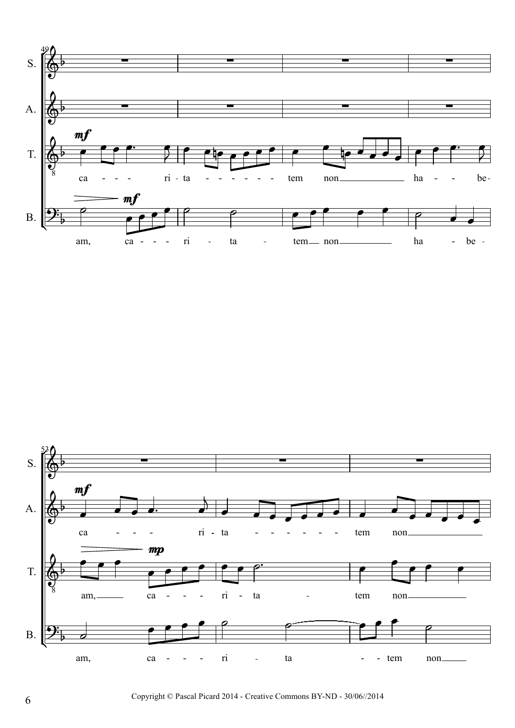

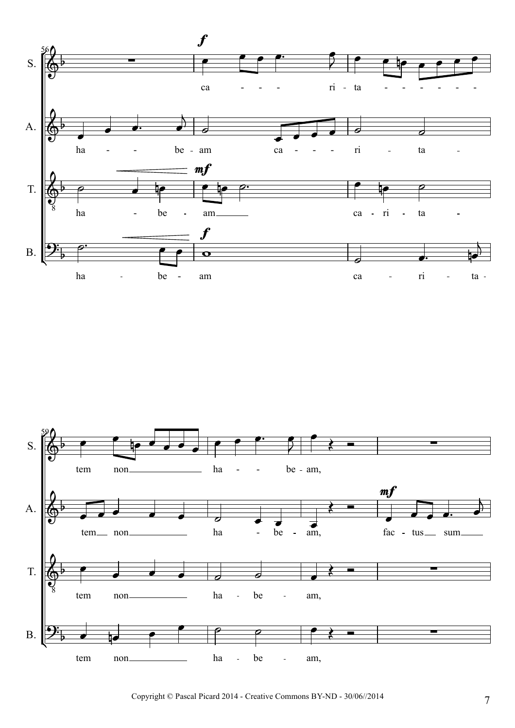



Copyright © Pascal Picard 2014 - Creative Commons BY-ND - 30/06//2014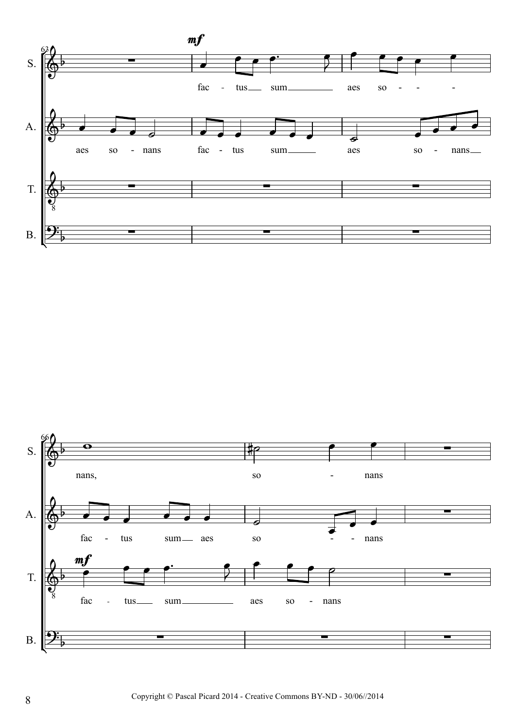

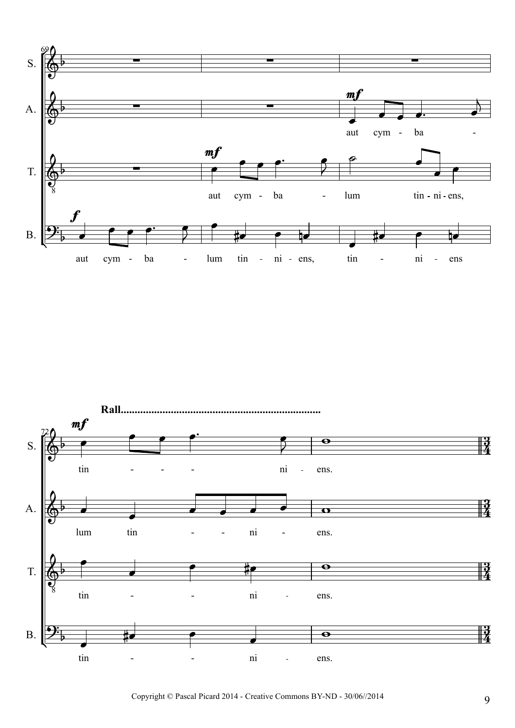



Copyright © Pascal Picard 2014 - Creative Commons BY-ND - 30/06//2014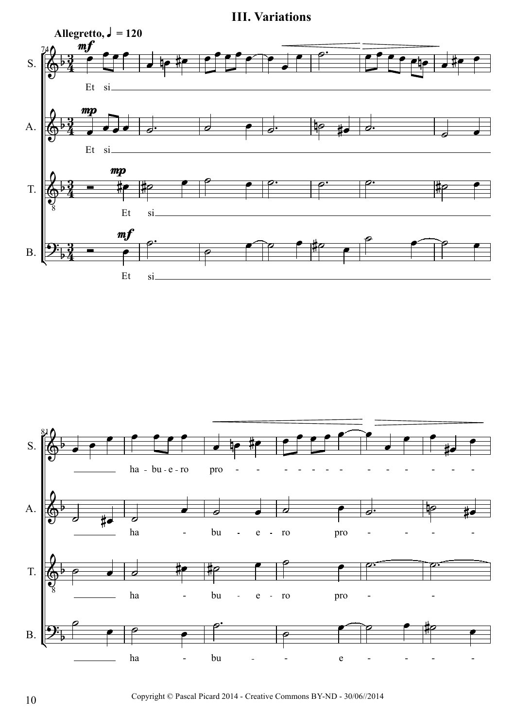

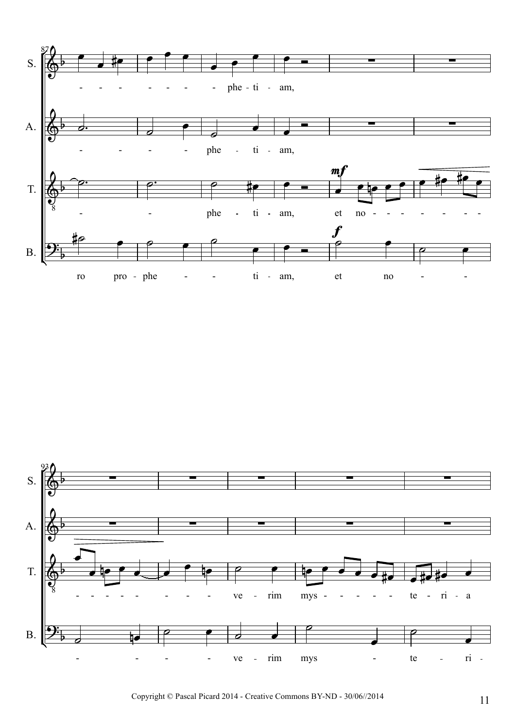



11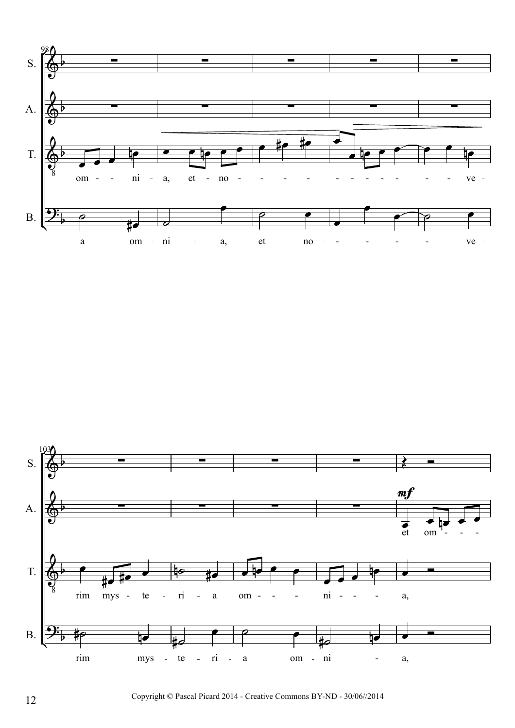

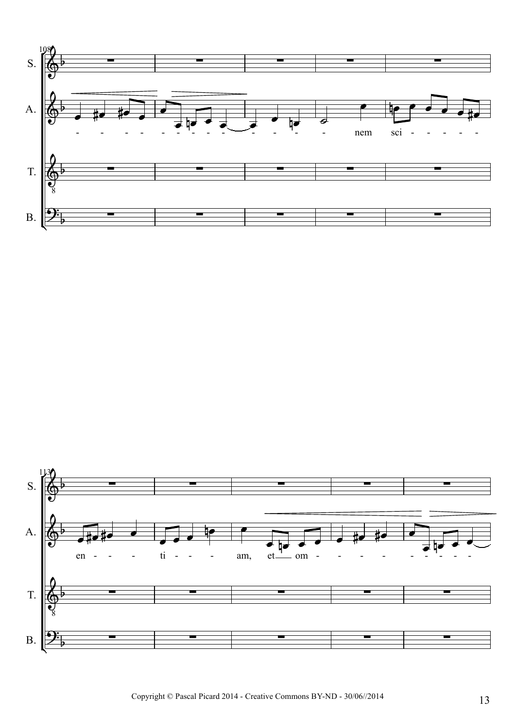

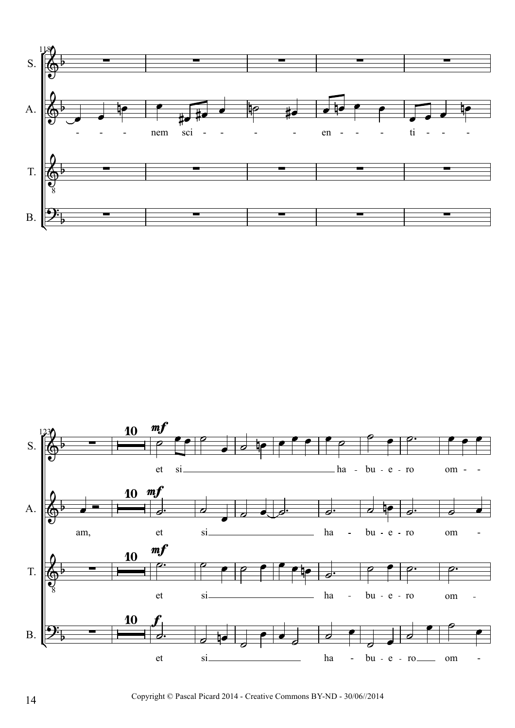

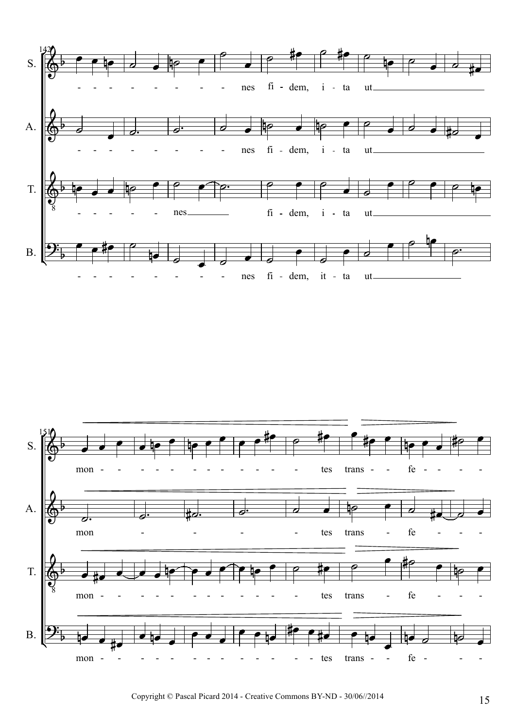

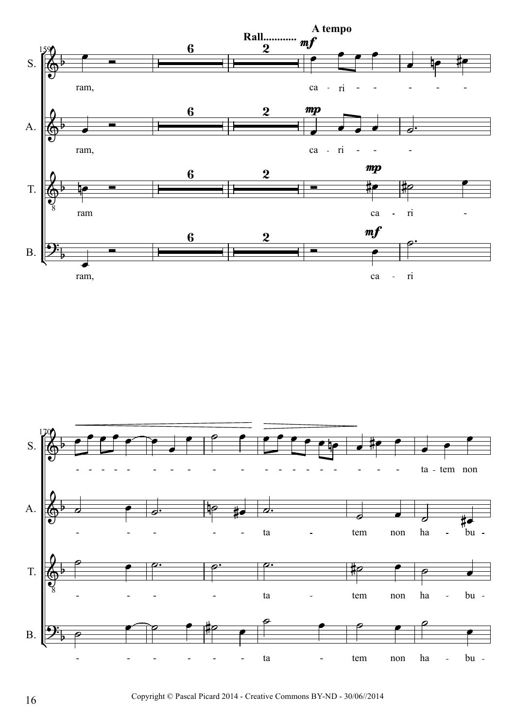

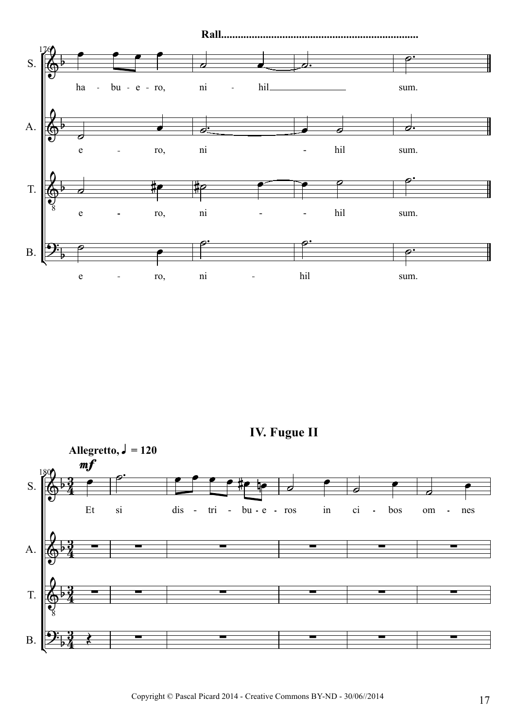

IV. Fugue II

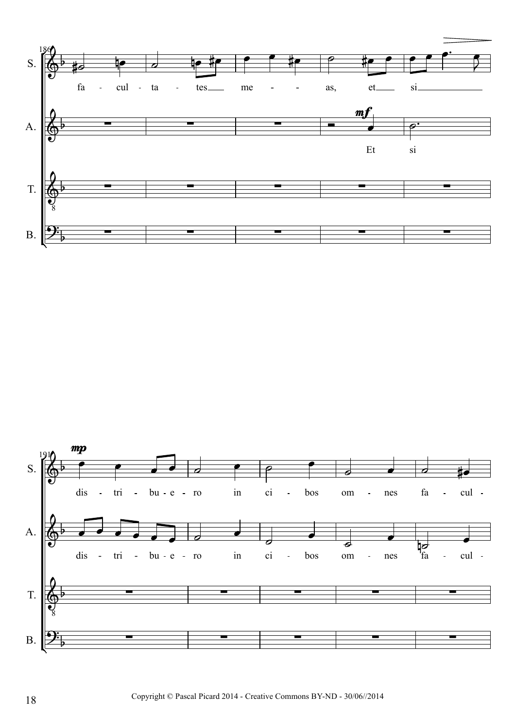

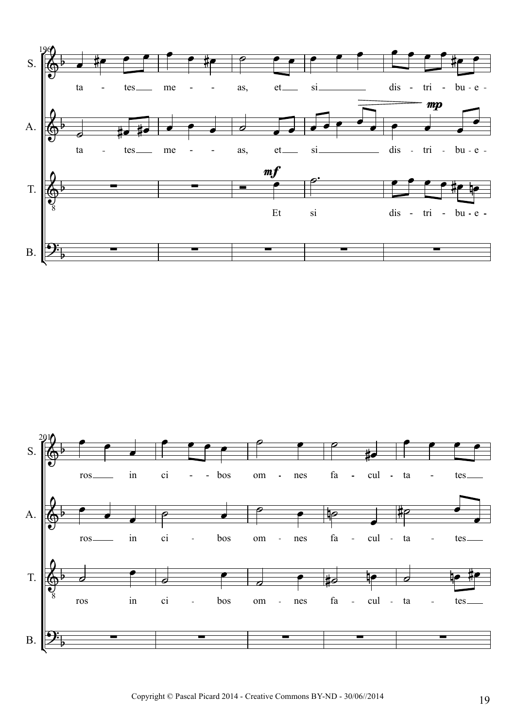

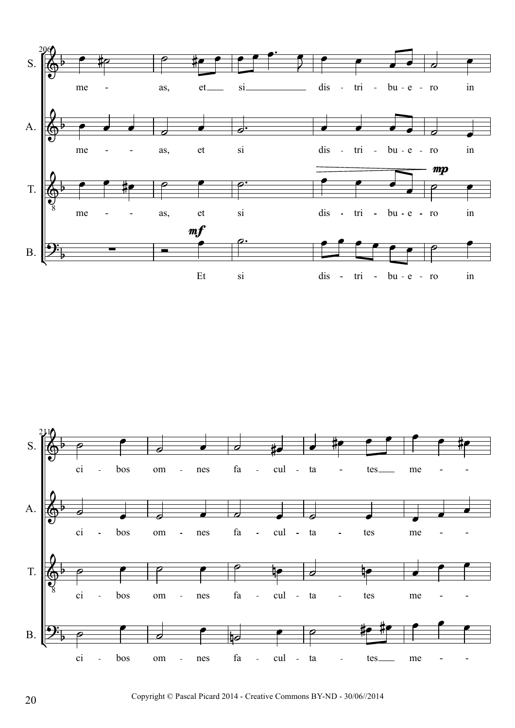



20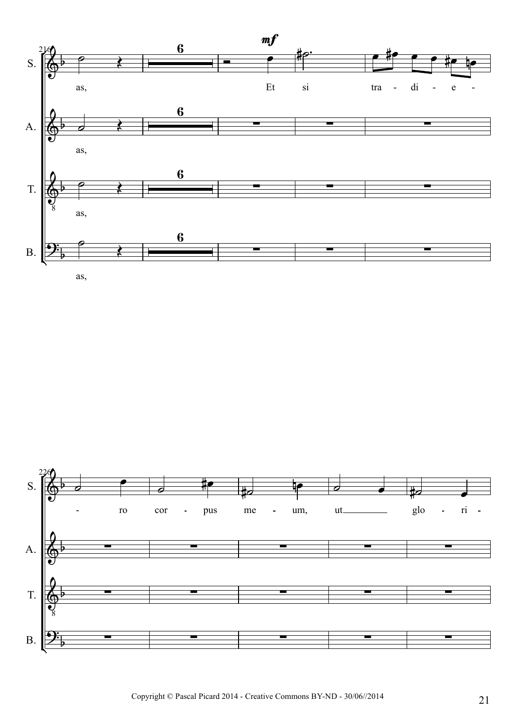



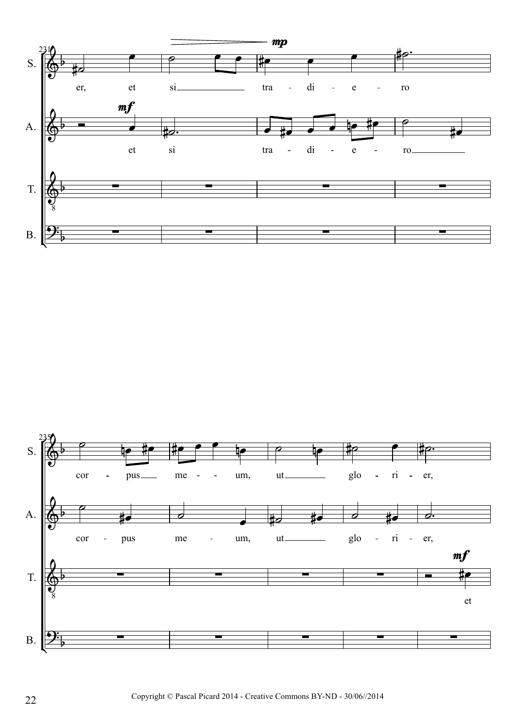

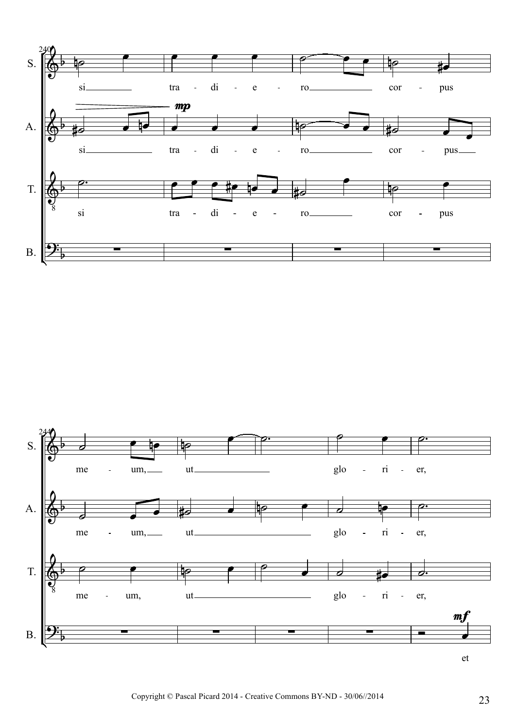



et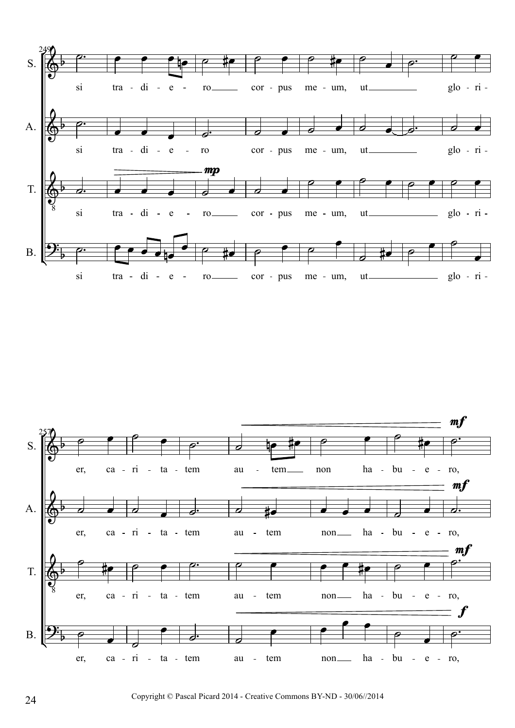

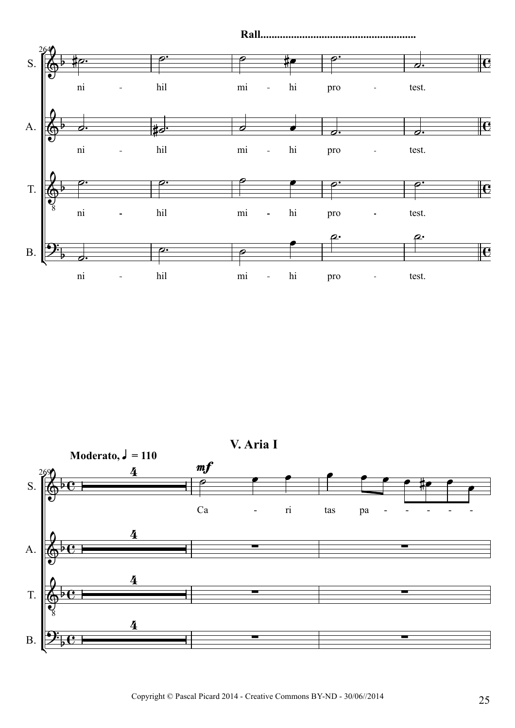

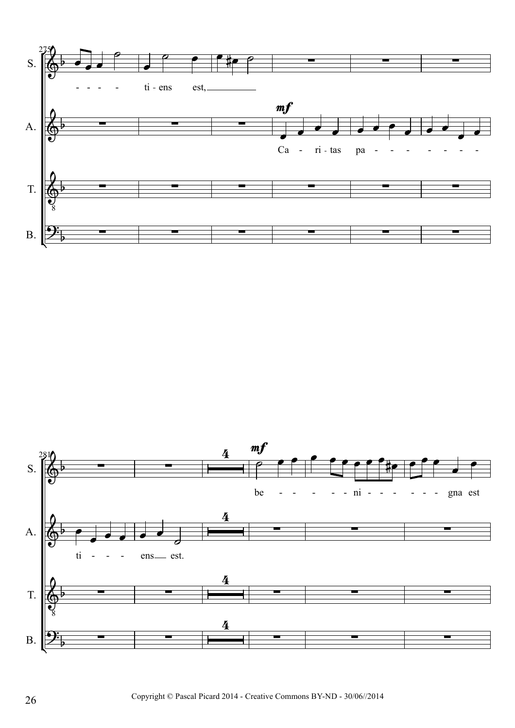

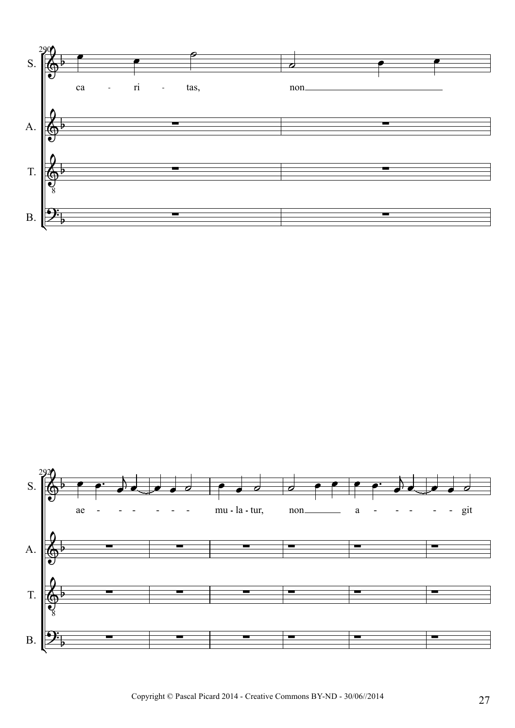

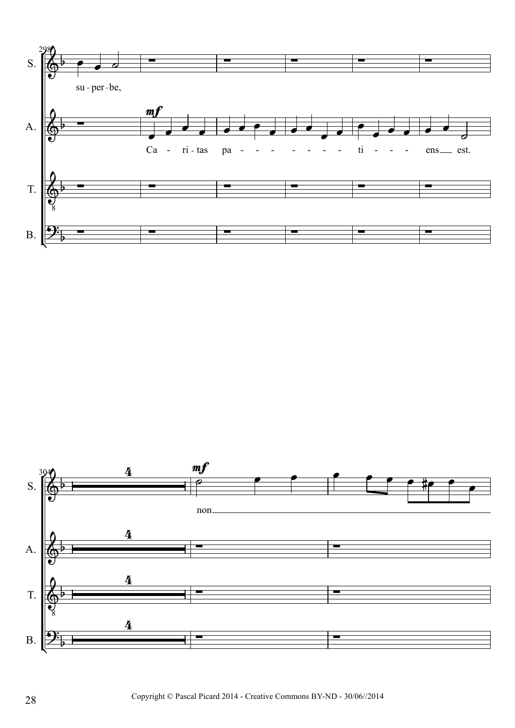

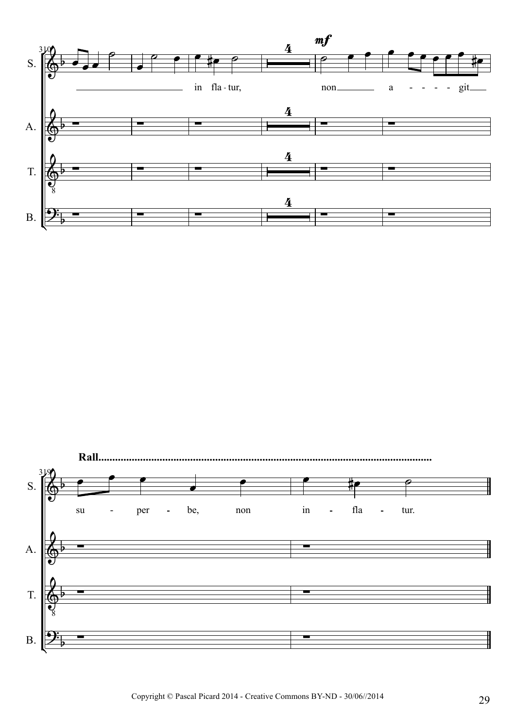

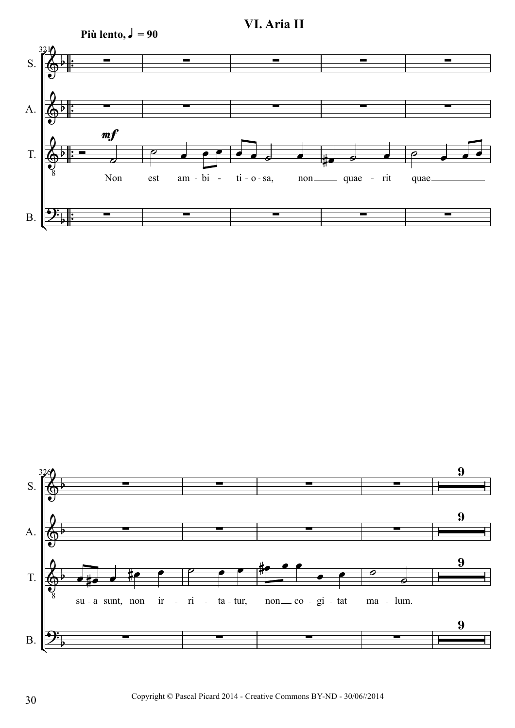

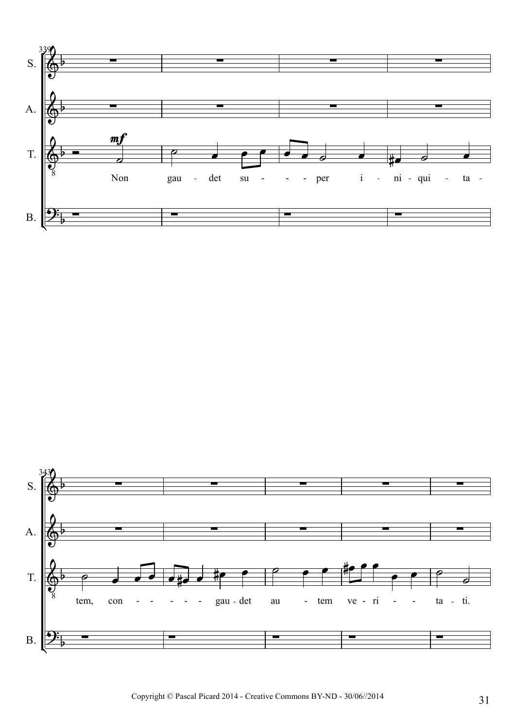

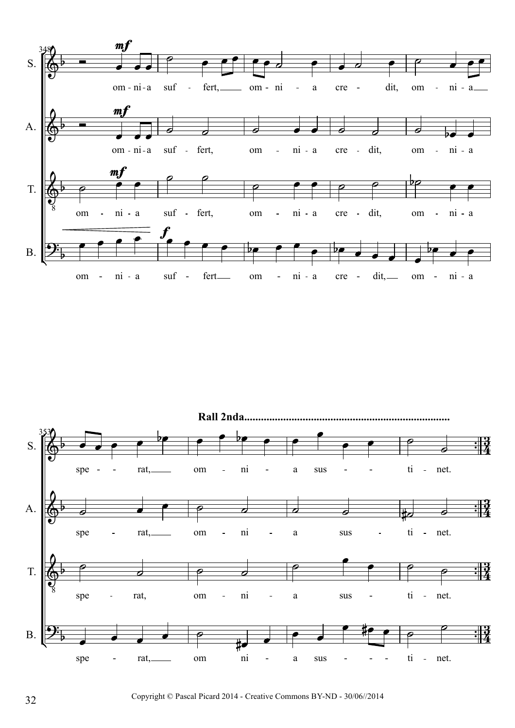

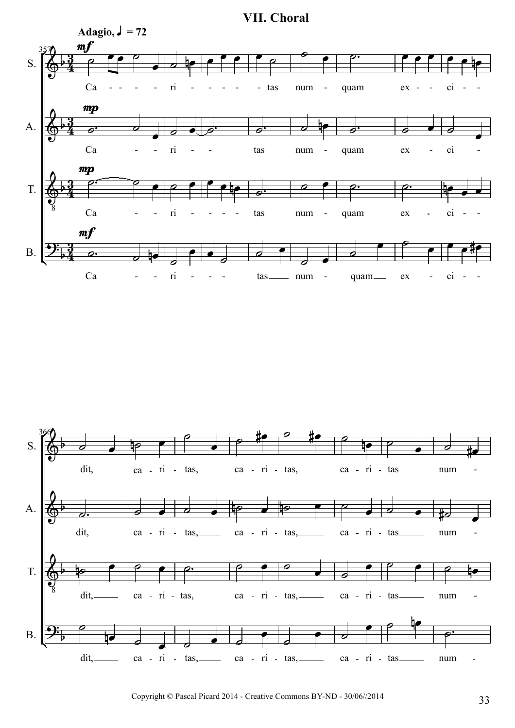



Copyright © Pascal Picard 2014 - Creative Commons BY-ND - 30/06//2014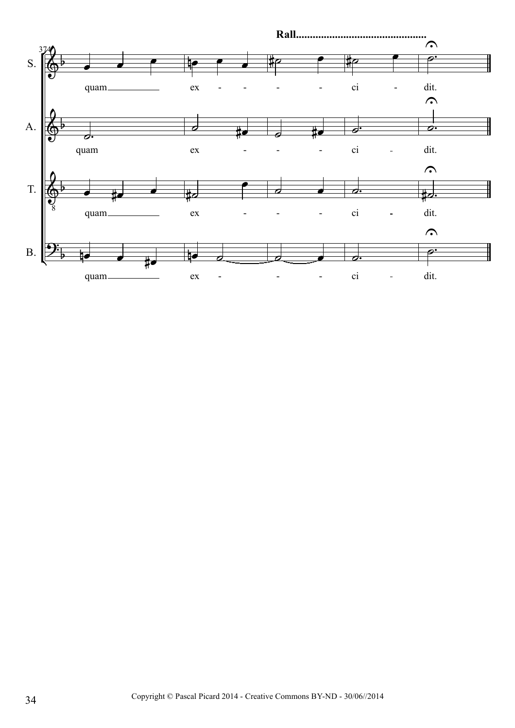